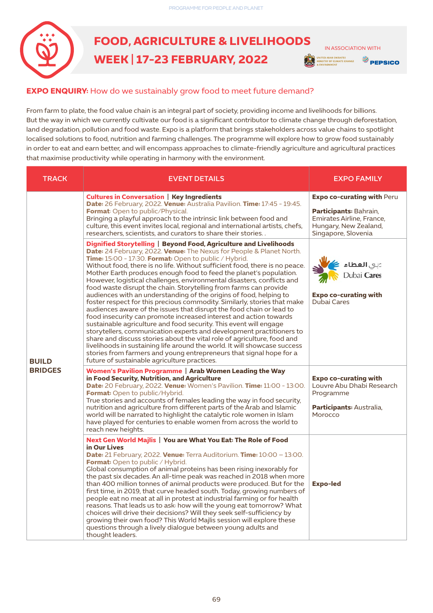

## **FOOD, AGRICULTURE & LIVELIHOODS WEEK | 17-23 FEBRUARY, 2022**

 IN ASSOCIATION WITHJNITED ARAB EMIRATES<br>MINISTRY OF CLIMATE CHANGE **EPSICO** 

## **EXPO ENQUIRY:** How do we sustainably grow food to meet future demand?

From farm to plate, the food value chain is an integral part of society, providing income and livelihoods for billions. But the way in which we currently cultivate our food is a significant contributor to climate change through deforestation, land degradation, pollution and food waste. Expo is a platform that brings stakeholders across value chains to spotlight localised solutions to food, nutrition and farming challenges. The programme will explore how to grow food sustainably in order to eat and earn better, and will encompass approaches to climate-friendly agriculture and agricultural practices that maximise productivity while operating in harmony with the environment.

| <b>TRACK</b>                   | <b>EVENT DETAILS</b>                                                                                                                                                                                                                                                                                                                                                                                                                                                                                                                                                                                                                                                                                                                                                                                                                                                                                                                                                                                                                                                                                                                                                                                                              | <b>EXPO FAMILY</b>                                                                                                                              |
|--------------------------------|-----------------------------------------------------------------------------------------------------------------------------------------------------------------------------------------------------------------------------------------------------------------------------------------------------------------------------------------------------------------------------------------------------------------------------------------------------------------------------------------------------------------------------------------------------------------------------------------------------------------------------------------------------------------------------------------------------------------------------------------------------------------------------------------------------------------------------------------------------------------------------------------------------------------------------------------------------------------------------------------------------------------------------------------------------------------------------------------------------------------------------------------------------------------------------------------------------------------------------------|-------------------------------------------------------------------------------------------------------------------------------------------------|
| <b>BUILD</b><br><b>BRIDGES</b> | <b>Cultures in Conversation   Key Ingredients</b><br>Date: 26 February, 2022. Venue: Australia Pavilion. Time: 17:45 - 19:45.<br>Format: Open to public/Physical.<br>Bringing a playful approach to the intrinsic link between food and<br>culture, this event invites local, regional and international artists, chefs,<br>researchers, scientists, and curators to share their stories.                                                                                                                                                                                                                                                                                                                                                                                                                                                                                                                                                                                                                                                                                                                                                                                                                                         | <b>Expo co-curating with Peru</b><br><b>Participants: Bahrain,</b><br>Emirates Airline, France,<br>Hungary, New Zealand,<br>Singapore, Slovenia |
|                                | Dignified Storytelling   Beyond Food, Agriculture and Livelihoods<br>Date: 24 February, 2022. Venue: The Nexus for People & Planet North.<br>Time: 15:00 - 17:30. Format: Open to public / Hybrid.<br>Without food, there is no life. Without sufficient food, there is no peace.<br>Mother Earth produces enough food to feed the planet's population.<br>However, logistical challenges, environmental disasters, conflicts and<br>food waste disrupt the chain. Storytelling from farms can provide<br>audiences with an understanding of the origins of food, helping to<br>foster respect for this precious commodity. Similarly, stories that make<br>audiences aware of the issues that disrupt the food chain or lead to<br>food insecurity can promote increased interest and action towards<br>sustainable agriculture and food security. This event will engage<br>storytellers, communication experts and development practitioners to<br>share and discuss stories about the vital role of agriculture, food and<br>livelihoods in sustaining life around the world. It will showcase success<br>stories from farmers and young entrepreneurs that signal hope for a<br>future of sustainable agriculture practices. | دبي <b>العطاء</b><br>Dubai <b>Cares</b><br><b>Expo co-curating with</b><br><b>Dubai Cares</b>                                                   |
|                                | Women's Pavilion Programme   Arab Women Leading the Way<br>in Food Security, Nutrition, and Agriculture<br>Date: 20 February, 2022. Venue: Women's Pavilion. Time: 11:00 - 13:00.<br>Format: Open to public/Hybrid.<br>True stories and accounts of females leading the way in food security,<br>nutrition and agriculture from different parts of the Arab and Islamic<br>world will be narrated to highlight the catalytic role women in Islam<br>have played for centuries to enable women from across the world to<br>reach new heights.                                                                                                                                                                                                                                                                                                                                                                                                                                                                                                                                                                                                                                                                                      | <b>Expo co-curating with</b><br>Louvre Abu Dhabi Research<br>Programme<br>Participants: Australia,<br>Morocco                                   |
|                                | Next Gen World Majlis   You are What You Eat: The Role of Food<br>in Our Lives<br>Date: 21 February, 2022. Venue: Terra Auditorium. Time: 10:00 - 13:00.<br>Format: Open to public / Hybrid.<br>Global consumption of animal proteins has been rising inexorably for<br>the past six decades. An all-time peak was reached in 2018 when more<br>than 400 million tonnes of animal products were produced. But for the<br>first time, in 2019, that curve headed south. Today, growing numbers of<br>people eat no meat at all in protest at industrial farming or for health<br>reasons. That leads us to ask: how will the young eat tomorrow? What<br>choices will drive their decisions? Will they seek self-sufficiency by<br>growing their own food? This World Majlis session will explore these<br>questions through a lively dialogue between young adults and<br>thought leaders.                                                                                                                                                                                                                                                                                                                                        | <b>Expo-led</b>                                                                                                                                 |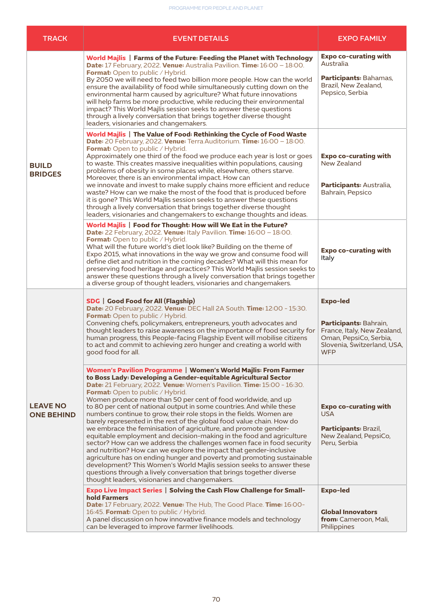| <b>TRACK</b>                         | <b>EVENT DETAILS</b>                                                                                                                                                                                                                                                                                                                                                                                                                                                                                                                                                                                                                                                                                                                                                                                                                                                                                                                                                                                                                                                                                           | <b>EXPO FAMILY</b>                                                                                                                              |
|--------------------------------------|----------------------------------------------------------------------------------------------------------------------------------------------------------------------------------------------------------------------------------------------------------------------------------------------------------------------------------------------------------------------------------------------------------------------------------------------------------------------------------------------------------------------------------------------------------------------------------------------------------------------------------------------------------------------------------------------------------------------------------------------------------------------------------------------------------------------------------------------------------------------------------------------------------------------------------------------------------------------------------------------------------------------------------------------------------------------------------------------------------------|-------------------------------------------------------------------------------------------------------------------------------------------------|
| <b>BUILD</b><br><b>BRIDGES</b>       | World Majlis   Farms of the Future: Feeding the Planet with Technology<br><b>Date:</b> 17 February, 2022. Venue: Australia Pavilion. Time: 16:00 - 18:00.<br>Format: Open to public / Hybrid.<br>By 2050 we will need to feed two billion more people. How can the world<br>ensure the availability of food while simultaneously cutting down on the<br>environmental harm caused by agriculture? What future innovations<br>will help farms be more productive, while reducing their environmental<br>impact? This World Majlis session seeks to answer these questions<br>through a lively conversation that brings together diverse thought<br>leaders, visionaries and changemakers.                                                                                                                                                                                                                                                                                                                                                                                                                       | <b>Expo co-curating with</b><br>Australia<br>Participants: Bahamas,<br>Brazil, New Zealand,<br>Pepsico, Serbia                                  |
|                                      | World Majlis   The Value of Food: Rethinking the Cycle of Food Waste<br>Date: 20 February, 2022. Venue: Terra Auditorium. Time: 16:00 - 18:00.<br><b>Format:</b> Open to public / Hybrid.<br>Approximately one third of the food we produce each year is lost or goes<br>to waste. This creates massive inequalities within populations, causing<br>problems of obesity in some places while, elsewhere, others starve.<br>Moreover, there is an environmental impact. How can<br>we innovate and invest to make supply chains more efficient and reduce<br>waste? How can we make the most of the food that is produced before<br>it is gone? This World Majlis session seeks to answer these questions<br>through a lively conversation that brings together diverse thought<br>leaders, visionaries and changemakers to exchange thoughts and ideas.                                                                                                                                                                                                                                                        | <b>Expo co-curating with</b><br>New Zealand<br>Participants: Australia,<br>Bahrain, Pepsico                                                     |
|                                      | World Majlis   Food for Thought: How will We Eat in the Future?<br><b>Date:</b> 22 February, 2022. <b>Venue:</b> Italy Pavilion. <b>Time:</b> $16:00 - 18:00$ .<br>Format: Open to public / Hybrid.<br>What will the future world's diet look like? Building on the theme of<br>Expo 2015, what innovations in the way we grow and consume food will<br>define diet and nutrition in the coming decades? What will this mean for<br>preserving food heritage and practices? This World Majlis session seeks to<br>answer these questions through a lively conversation that brings together<br>a diverse group of thought leaders, visionaries and changemakers.                                                                                                                                                                                                                                                                                                                                                                                                                                               | <b>Expo co-curating with</b><br>Italy                                                                                                           |
| <b>LEAVE NO</b><br><b>ONE BEHIND</b> | <b>SDG</b>   Good Food for All (Flagship)<br>Date: 20 February, 2022. Venue: DEC Hall 2A South. Time: 12:00 - 15:30.<br>Format: Open to public / Hybrid.<br>Convening chefs, policymakers, entrepreneurs, youth advocates and<br>thought leaders to raise awareness on the importance of food security for<br>human progress, this People-facing Flagship Event will mobilise citizens<br>to act and commit to achieving zero hunger and creating a world with<br>good food for all.                                                                                                                                                                                                                                                                                                                                                                                                                                                                                                                                                                                                                           | <b>Expo-led</b><br>Participants: Bahrain,<br>France, Italy, New Zealand,<br>Oman, PepsiCo, Serbia,<br>Slovenia, Switzerland, USA,<br><b>WFP</b> |
|                                      | Women's Pavilion Programme   Women's World Majlis: From Farmer<br>to Boss Lady: Developing a Gender-equitable Agricultural Sector<br>Date: 21 February, 2022. Venue: Women's Pavilion. Time: 15:00 - 16:30.<br>Format: Open to public / Hybrid.<br>Women produce more than 50 per cent of food worldwide, and up<br>to 80 per cent of national output in some countries. And while these<br>numbers continue to grow, their role stops in the fields. Women are<br>barely represented in the rest of the global food value chain. How do<br>we embrace the feminisation of agriculture, and promote gender-<br>equitable employment and decision-making in the food and agriculture<br>sector? How can we address the challenges women face in food security<br>and nutrition? How can we explore the impact that gender-inclusive<br>agriculture has on ending hunger and poverty and promoting sustainable<br>development? This Women's World Majlis session seeks to answer these<br>questions through a lively conversation that brings together diverse<br>thought leaders, visionaries and changemakers. | <b>Expo co-curating with</b><br>USA<br>Participants: Brazil,<br>New Zealand, PepsiCo,<br>Peru, Serbia                                           |
|                                      | <b>Expo Live Impact Series   Solving the Cash Flow Challenge for Small-</b><br>hold Farmers<br>Date: 17 February, 2022. Venue: The Hub, The Good Place. Time: 16:00-<br>16:45. Format: Open to public / Hybrid.<br>A panel discussion on how innovative finance models and technology<br>can be leveraged to improve farmer livelihoods.                                                                                                                                                                                                                                                                                                                                                                                                                                                                                                                                                                                                                                                                                                                                                                       | <b>Expo-led</b><br><b>Global Innovators</b><br>from: Cameroon, Mali,<br>Philippines                                                             |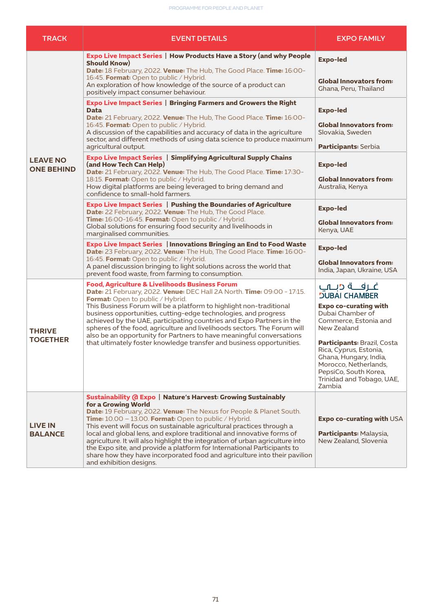| <b>TRACK</b>                         | <b>EVENT DETAILS</b>                                                                                                                                                                                                                                                                                                                                                                                                                                                                                                                                 | <b>EXPO FAMILY</b>                                                                                                                                                              |
|--------------------------------------|------------------------------------------------------------------------------------------------------------------------------------------------------------------------------------------------------------------------------------------------------------------------------------------------------------------------------------------------------------------------------------------------------------------------------------------------------------------------------------------------------------------------------------------------------|---------------------------------------------------------------------------------------------------------------------------------------------------------------------------------|
| <b>LEAVE NO</b><br><b>ONE BEHIND</b> | Expo Live Impact Series   How Products Have a Story (and why People<br><b>Should Know)</b>                                                                                                                                                                                                                                                                                                                                                                                                                                                           | <b>Expo-led</b>                                                                                                                                                                 |
|                                      | Date: 18 February, 2022. Venue: The Hub, The Good Place. Time: 16:00-<br>16:45. Format: Open to public / Hybrid.<br>An exploration of how knowledge of the source of a product can<br>positively impact consumer behaviour.                                                                                                                                                                                                                                                                                                                          | <b>Global Innovators from:</b><br>Ghana, Peru, Thailand                                                                                                                         |
|                                      | <b>Expo Live Impact Series   Bringing Farmers and Growers the Right</b><br>Data<br>Date: 21 February, 2022. Venue: The Hub, The Good Place. Time: 16:00-                                                                                                                                                                                                                                                                                                                                                                                             | <b>Expo-led</b>                                                                                                                                                                 |
|                                      | 16:45. Format: Open to public / Hybrid.<br>A discussion of the capabilities and accuracy of data in the agriculture<br>sector, and different methods of using data science to produce maximum<br>agricultural output.                                                                                                                                                                                                                                                                                                                                | <b>Global Innovators from:</b><br>Slovakia, Sweden<br>Participants: Serbia                                                                                                      |
|                                      | <b>Expo Live Impact Series   Simplifying Agricultural Supply Chains</b><br>(and How Tech Can Help)<br>Date: 21 February, 2022. Venue: The Hub, The Good Place. Time: 17:30-<br>18:15. Format: Open to public / Hybrid.<br>How digital platforms are being leveraged to bring demand and                                                                                                                                                                                                                                                              | <b>Expo-led</b><br><b>Global Innovators from:</b><br>Australia, Kenya                                                                                                           |
|                                      | confidence to small-hold farmers.<br><b>Expo Live Impact Series   Pushing the Boundaries of Agriculture</b><br>Date: 22 February, 2022. Venue: The Hub, The Good Place.<br>Time: 16:00-16:45. Format: Open to public / Hybrid.                                                                                                                                                                                                                                                                                                                       | <b>Expo-led</b>                                                                                                                                                                 |
|                                      | Global solutions for ensuring food security and livelihoods in<br>marginalised communities.                                                                                                                                                                                                                                                                                                                                                                                                                                                          | <b>Global Innovators from:</b><br>Kenya, UAE                                                                                                                                    |
|                                      | Expo Live Impact Series   Innovations Bringing an End to Food Waste<br>Date: 23 February, 2022. Venue: The Hub, The Good Place. Time: 16:00-<br>16:45. Format: Open to public / Hybrid.<br>A panel discussion bringing to light solutions across the world that<br>prevent food waste, from farming to consumption.                                                                                                                                                                                                                                  | <b>Expo-led</b><br><b>Global Innovators from:</b><br>India, Japan, Ukraine, USA                                                                                                 |
| <b>THRIVE</b><br><b>TOGETHER</b>     | <b>Food, Agriculture &amp; Livelihoods Business Forum</b><br><b>Date:</b> 21 February, 2022. Venue: DEC Hall 2A North. Time: 09:00 - 17:15.                                                                                                                                                                                                                                                                                                                                                                                                          | غارفته درياب<br><b>JUBAI CHAMBER</b>                                                                                                                                            |
|                                      | Format: Open to public / Hybrid.<br>This Business Forum will be a platform to highlight non-traditional<br>business opportunities, cutting-edge technologies, and progress<br>achieved by the UAE, participating countries and Expo Partners in the<br>spheres of the food, agriculture and livelihoods sectors. The Forum will<br>also be an opportunity for Partners to have meaningful conversations                                                                                                                                              | <b>Expo co-curating with</b><br>Dubai Chamber of<br>Commerce, Estonia and<br>New Zealand                                                                                        |
|                                      | that ultimately foster knowledge transfer and business opportunities.                                                                                                                                                                                                                                                                                                                                                                                                                                                                                | <b>Participants: Brazil, Costa</b><br>Rica, Cyprus, Estonia,<br>Ghana, Hungary, India,<br>Morocco, Netherlands,<br>PepsiCo, South Korea,<br>Trinidad and Tobago, UAE,<br>Zambia |
| <b>LIVE IN</b><br><b>BALANCE</b>     | Sustainability (d Expo   Nature's Harvest: Growing Sustainably<br>for a Growing World                                                                                                                                                                                                                                                                                                                                                                                                                                                                |                                                                                                                                                                                 |
|                                      | Date: 19 February, 2022. Venue: The Nexus for People & Planet South.<br>Time: 10.00 - 13.00. Format: Open to public / Hybrid.<br>This event will focus on sustainable agricultural practices through a<br>local and global lens, and explore traditional and innovative forms of<br>agriculture. It will also highlight the integration of urban agriculture into<br>the Expo site, and provide a platform for International Participants to<br>share how they have incorporated food and agriculture into their pavilion<br>and exhibition designs. | Expo co-curating with USA<br>Participants: Malaysia,<br>New Zealand, Slovenia                                                                                                   |